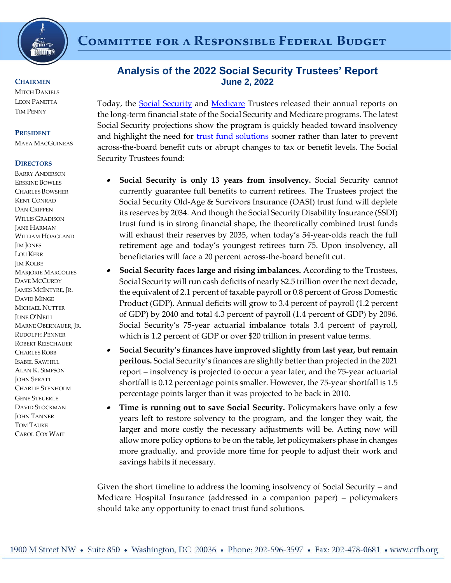

# **COMMITTEE FOR A RESPONSIBLE FEDERAL BUDGET**

#### **CHAIRMEN**

**MITCH DANIELS** LEON PANETTA TIM PENNY

#### **PRESIDENT**

MAYA MACGUINEAS

#### **DIRECTORS**

BARRY ANDERSON ERSKINE BOWLES CHARLES BOWSHER KENT CONRAD DAN CRIPPEN WILLIS GRADISON JANE HARMAN WILLIAM HOAGLAND JIM JONES LOU KERR JIM KOLBE MARJORIE MARGOLIES DAVE MCCURDY JAMES MCINTYRE, JR. DAVID MINGE MICHAEL NUTTER JUNE O'NEILL MARNE OBERNAUER, JR. RUDOLPH PENNER ROBERT REISCHAUER CHARLES ROBB ISABEL SAWHILL ALAN K. SIMPSON JOHN SPRATT CHARLIE STENHOLM GENE STEUERLE DAVID STOCKMAN **JOHN TANNER** TOM TAUKE CAROL COX WAIT

# **Analysis of the 2022 Social Security Trustees' Report June 2, 2022**

Today, the **Social Security** and **Medicare** Trustees released their annual reports on the long-term financial state of the Social Security and Medicare programs. The latest Social Security projections show the program is quickly headed toward insolvency and highlight the need for [trust fund solutions](https://www.crfb.org/issue-area/trust-fund-solutions) sooner rather than later to prevent across-the-board benefit cuts or abrupt changes to tax or benefit levels. The Social Security Trustees found:

- • **Social Security is only 13 years from insolvency.** Social Security cannot currently guarantee full benefits to current retirees. The Trustees project the Social Security Old-Age & Survivors Insurance (OASI) trust fund will deplete its reserves by 2034. And though the Social Security Disability Insurance (SSDI) trust fund is in strong financial shape, the theoretically combined trust funds will exhaust their reserves by 2035, when today's 54-year-olds reach the full retirement age and today's youngest retirees turn 75. Upon insolvency, all beneficiaries will face a 20 percent across-the-board benefit cut.
- • **Social Security faces large and rising imbalances.** According to the Trustees, Social Security will run cash deficits of nearly \$2.5 trillion over the next decade, the equivalent of 2.1 percent of taxable payroll or 0.8 percent of Gross Domestic Product (GDP). Annual deficits will grow to 3.4 percent of payroll (1.2 percent of GDP) by 2040 and total 4.3 percent of payroll (1.4 percent of GDP) by 2096. Social Security's 75-year actuarial imbalance totals 3.4 percent of payroll, which is 1.2 percent of GDP or over \$20 trillion in present value terms.
- • **Social Security's finances have improved slightly from last year, but remain perilous.** Social Security's finances are slightly better than projected in the 2021 report – insolvency is projected to occur a year later, and the 75-year actuarial shortfall is 0.12 percentage points smaller. However, the 75-year shortfall is 1.5 percentage points larger than it was projected to be back in 2010.
- • **Time is running out to save Social Security.** Policymakers have only a few years left to restore solvency to the program, and the longer they wait, the larger and more costly the necessary adjustments will be. Acting now will allow more policy options to be on the table, let policymakers phase in changes more gradually, and provide more time for people to adjust their work and savings habits if necessary.

Given the short timeline to address the looming insolvency of Social Security – and Medicare Hospital Insurance (addressed in a companion paper) – policymakers should take any opportunity to enact trust fund solutions.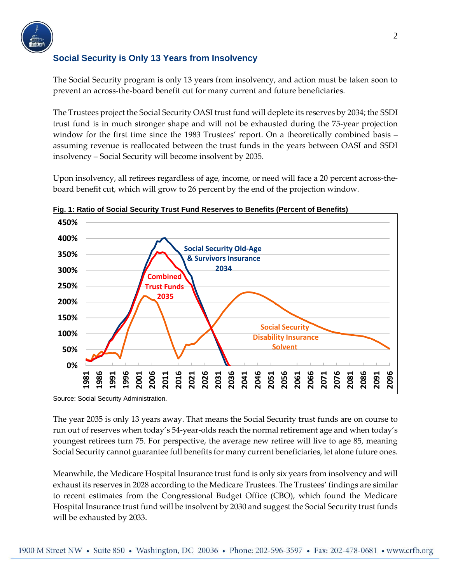

### **Social Security is Only 13 Years from Insolvency**

The Social Security program is only 13 years from insolvency, and action must be taken soon to prevent an across-the-board benefit cut for many current and future beneficiaries.

The Trustees project the Social Security OASI trust fund will deplete its reserves by 2034; the SSDI trust fund is in much stronger shape and will not be exhausted during the 75-year projection window for the first time since the 1983 Trustees' report. On a theoretically combined basis – assuming revenue is reallocated between the trust funds in the years between OASI and SSDI insolvency – Social Security will become insolvent by 2035.

Upon insolvency, all retirees regardless of age, income, or need will face a 20 percent across-theboard benefit cut, which will grow to 26 percent by the end of the projection window.



**Fig. 1: Ratio of Social Security Trust Fund Reserves to Benefits (Percent of Benefits)** 

Source: Social Security Administration.

The year 2035 is only 13 years away. That means the Social Security trust funds are on course to run out of reserves when today's 54-year-olds reach the normal retirement age and when today's youngest retirees turn 75. For perspective, the average new retiree will live to age 85, meaning Social Security cannot guarantee full benefits for many current beneficiaries, let alone future ones.

Meanwhile, the Medicare Hospital Insurance trust fund is only six years from insolvency and will exhaust its reserves in 2028 according to the Medicare Trustees. The Trustees' findings are similar to recent estimates from the Congressional Budget Office (CBO), which found the Medicare Hospital Insurance trust fund will be insolvent by 2030 and suggest the Social Security trust funds will be exhausted by 2033.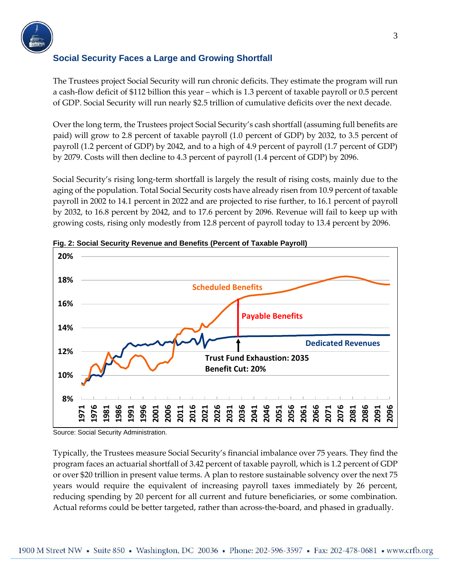

### **Social Security Faces a Large and Growing Shortfall**

The Trustees project Social Security will run chronic deficits. They estimate the program will run a cash-flow deficit of \$112 billion this year – which is 1.3 percent of taxable payroll or 0.5 percent of GDP. Social Security will run nearly \$2.5 trillion of cumulative deficits over the next decade.

Over the long term, the Trustees project Social Security's cash shortfall (assuming full benefits are paid) will grow to 2.8 percent of taxable payroll (1.0 percent of GDP) by 2032, to 3.5 percent of payroll (1.2 percent of GDP) by 2042, and to a high of 4.9 percent of payroll (1.7 percent of GDP) by 2079. Costs will then decline to 4.3 percent of payroll (1.4 percent of GDP) by 2096.

Social Security's rising long-term shortfall is largely the result of rising costs, mainly due to the aging of the population. Total Social Security costs have already risen from 10.9 percent of taxable payroll in 2002 to 14.1 percent in 2022 and are projected to rise further, to 16.1 percent of payroll by 2032, to 16.8 percent by 2042, and to 17.6 percent by 2096. Revenue will fail to keep up with growing costs, rising only modestly from 12.8 percent of payroll today to 13.4 percent by 2096.



**Fig. 2: Social Security Revenue and Benefits (Percent of Taxable Payroll)** 

Source: Social Security Administration.

Typically, the Trustees measure Social Security's financial imbalance over 75 years. They find the program faces an actuarial shortfall of 3.42 percent of taxable payroll, which is 1.2 percent of GDP or over \$20 trillion in present value terms. A plan to restore sustainable solvency over the next 75 years would require the equivalent of increasing payroll taxes immediately by 26 percent, reducing spending by 20 percent for all current and future beneficiaries, or some combination. Actual reforms could be better targeted, rather than across-the-board, and phased in gradually.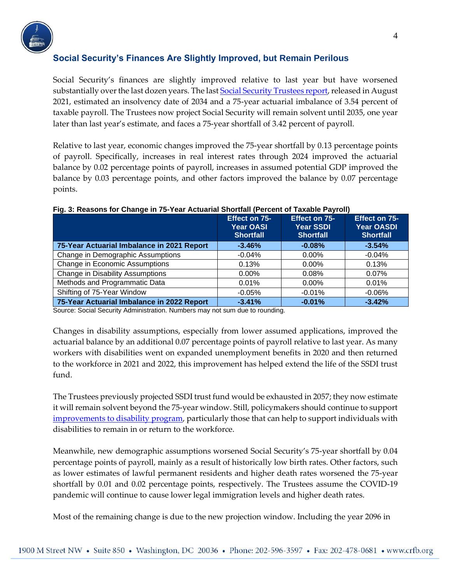

### **Social Security's Finances Are Slightly Improved, but Remain Perilous**

Social Security's finances are slightly improved relative to last year but have worsened substantially over the last dozen years. The last [Social Security Trustees report,](https://www.crfb.org/papers/analysis-2021-social-security-trustees-report) released in August 2021, estimated an insolvency date of 2034 and a 75-year actuarial imbalance of 3.54 percent of taxable payroll. The Trustees now project Social Security will remain solvent until 2035, one year later than last year's estimate, and faces a 75-year shortfall of 3.42 percent of payroll.

Relative to last year, economic changes improved the 75-year shortfall by 0.13 percentage points of payroll. Specifically, increases in real interest rates through 2024 improved the actuarial balance by 0.02 percentage points of payroll, increases in assumed potential GDP improved the balance by 0.03 percentage points, and other factors improved the balance by 0.07 percentage points.

|                                            | Effect on 75-<br><b>Year OASI</b><br><b>Shortfall</b> | Effect on 75-<br><b>Year SSDI</b><br><b>Shortfall</b> | Effect on 75-<br><b>Year OASDI</b><br><b>Shortfall</b> |
|--------------------------------------------|-------------------------------------------------------|-------------------------------------------------------|--------------------------------------------------------|
| 75-Year Actuarial Imbalance in 2021 Report | $-3.46%$                                              | $-0.08%$                                              | $-3.54%$                                               |
| Change in Demographic Assumptions          | $-0.04\%$                                             | $0.00\%$                                              | $-0.04%$                                               |
| Change in Economic Assumptions             | 0.13%                                                 | $0.00\%$                                              | 0.13%                                                  |
| Change in Disability Assumptions           | $0.00\%$                                              | 0.08%                                                 | $0.07\%$                                               |
| Methods and Programmatic Data              | 0.01%                                                 | $0.00\%$                                              | 0.01%                                                  |
| Shifting of 75-Year Window                 | $-0.05%$                                              | $-0.01%$                                              | $-0.06%$                                               |
| 75-Year Actuarial Imbalance in 2022 Report | $-3.41%$                                              | $-0.01%$                                              | $-3.42%$                                               |

#### **Fig. 3: Reasons for Change in 75-Year Actuarial Shortfall (Percent of Taxable Payroll)**

Source: Social Security Administration. Numbers may not sum due to rounding.

Changes in disability assumptions, especially from lower assumed applications, improved the actuarial balance by an additional 0.07 percentage points of payroll relative to last year. As many workers with disabilities went on expanded unemployment benefits in 2020 and then returned to the workforce in 2021 and 2022, this improvement has helped extend the life of the SSDI trust fund.

The Trustees previously projected SSDI trust fund would be exhausted in 2057; they now estimate it will remain solvent beyond the 75-year window. Still, policymakers should continue to support [improvements to disability program,](https://www.crfb.org/project/ssdi-solutions-initiative) particularly those that can help to support individuals with disabilities to remain in or return to the workforce.

Meanwhile, new demographic assumptions worsened Social Security's 75-year shortfall by 0.04 percentage points of payroll, mainly as a result of historically low birth rates. Other factors, such as lower estimates of lawful permanent residents and higher death rates worsened the 75-year shortfall by 0.01 and 0.02 percentage points, respectively. The Trustees assume the COVID-19 pandemic will continue to cause lower legal immigration levels and higher death rates.

Most of the remaining change is due to the new projection window. Including the year 2096 in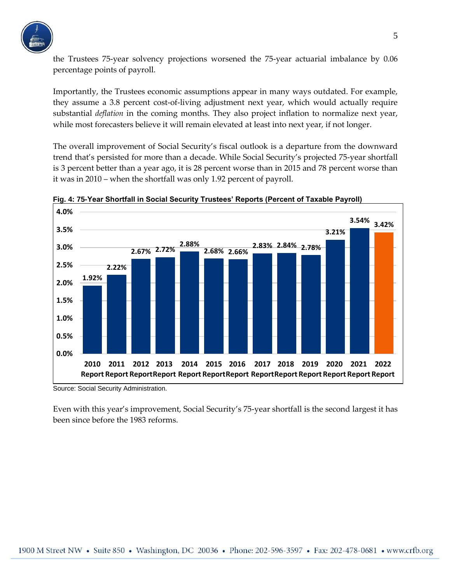

the Trustees 75-year solvency projections worsened the 75-year actuarial imbalance by 0.06 percentage points of payroll.

Importantly, the Trustees economic assumptions appear in many ways outdated. For example, they assume a 3.8 percent cost-of-living adjustment next year, which would actually require substantial *deflation* in the coming months. They also project inflation to normalize next year, while most forecasters believe it will remain elevated at least into next year, if not longer.

The overall improvement of Social Security's fiscal outlook is a departure from the downward trend that's persisted for more than a decade. While Social Security's projected 75-year shortfall is 3 percent better than a year ago, it is 28 percent worse than in 2015 and 78 percent worse than it was in 2010 – when the shortfall was only 1.92 percent of payroll.



**Fig. 4: 75-Year Shortfall in Social Security Trustees' Reports (Percent of Taxable Payroll)**

Source: Social Security Administration.

Even with this year's improvement, Social Security's 75-year shortfall is the second largest it has been since before the 1983 reforms.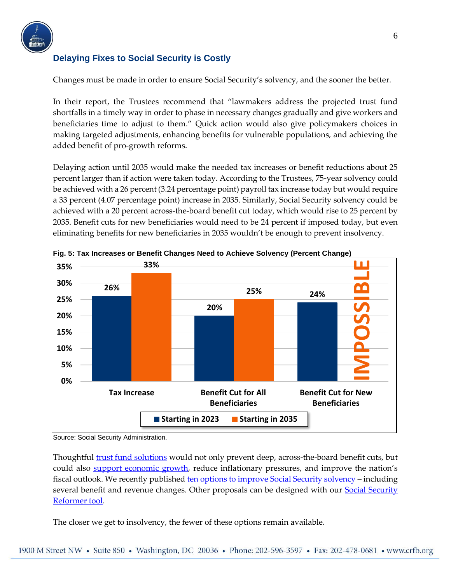

### **Delaying Fixes to Social Security is Costly**

Changes must be made in order to ensure Social Security's solvency, and the sooner the better.

In their report, the Trustees recommend that "lawmakers address the projected trust fund shortfalls in a timely way in order to phase in necessary changes gradually and give workers and beneficiaries time to adjust to them." Quick action would also give policymakers choices in making targeted adjustments, enhancing benefits for vulnerable populations, and achieving the added benefit of pro-growth reforms.

Delaying action until 2035 would make the needed tax increases or benefit reductions about 25 percent larger than if action were taken today. According to the Trustees, 75-year solvency could be achieved with a 26 percent (3.24 percentage point) payroll tax increase today but would require a 33 percent (4.07 percentage point) increase in 2035. Similarly, Social Security solvency could be achieved with a 20 percent across-the-board benefit cut today, which would rise to 25 percent by 2035. Benefit cuts for new beneficiaries would need to be 24 percent if imposed today, but even eliminating benefits for new beneficiaries in 2035 wouldn't be enough to prevent insolvency.



**Fig. 5: Tax Increases or Benefit Changes Need to Achieve Solvency (Percent Change)** 

Source: Social Security Administration.

Thoughtful [trust fund solutions](https://www.crfb.org/papers/case-for-trust-fund-solutions) would not only prevent deep, across-the-board benefit cuts, but could also [support economic growth](https://www.crfb.org/blogs/trust-fund-solutions-would-be-pro-growth), reduce inflationary pressures, and improve the nation's fiscal outlook. We recently published [ten options to improve Social Security solvency](https://www.crfb.org/blogs/ten-options-secure-social-security-trust-fund) - including several benefit and revenue changes. Other proposals can be designed with our Social Security [Reformer tool.](https://www.crfb.org/socialsecurityreformer/)

The closer we get to insolvency, the fewer of these options remain available.